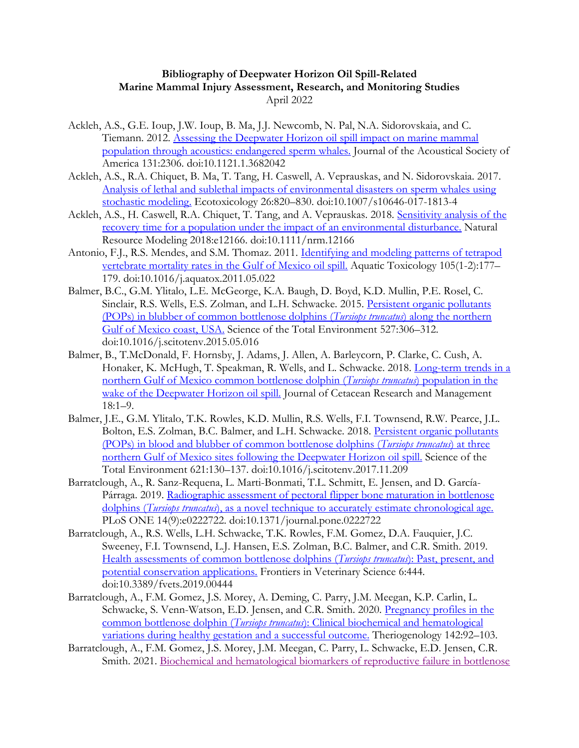## **Bibliography of Deepwater Horizon Oil Spill-Related Marine Mammal Injury Assessment, Research, and Monitoring Studies** April 2022

- Ackleh, A.S., G.E. Ioup, J.W. Ioup, B. Ma, J.J. Newcomb, N. Pal, N.A. Sidorovskaia, and C. Tiemann. 2012. [Assessing the Deepwater Horizon oil spill impact on marine mammal](https://asa.scitation.org/doi/full/10.1121/1.3682042)  [population through acoustics: endangered sperm whales.](https://asa.scitation.org/doi/full/10.1121/1.3682042) Journal of the Acoustical Society of America 131:2306. doi:10.1121.1.3682042
- Ackleh, A.S., R.A. Chiquet, B. Ma, T. Tang, H. Caswell, A. Veprauskas, and N. Sidorovskaia. 2017. [Analysis of lethal and sublethal impacts of environmental disasters on sperm whales using](https://link.springer.com/article/10.1007/s10646-017-1813-4)  [stochastic modeling.](https://link.springer.com/article/10.1007/s10646-017-1813-4) Ecotoxicology 26:820–830. doi:10.1007/s10646-017-1813-4
- Ackleh, A.S., H. Caswell, R.A. Chiquet, T. Tang, and A. Veprauskas. 2018. Sensitivity analysis of the [recovery time for a population under the impact of an environmental disturbance.](https://onlinelibrary.wiley.com/doi/abs/10.1111/nrm.12166) Natural Resource Modeling 2018:e12166. doi:10.1111/nrm.12166
- Antonio, F.J., R.S. Mendes, and S.M. Thomaz. 2011. Identifying and modeling patterns of tetrapod [vertebrate mortality rates in the Gulf of Mexico oil spill.](https://www.sciencedirect.com/science/article/pii/S0166445X11001585?via%3Dihub) Aquatic Toxicology 105(1-2):177– 179. doi:10.1016/j.aquatox.2011.05.022
- Balmer, B.C., G.M. Ylitalo, L.E. McGeorge, K.A. Baugh, D. Boyd, K.D. Mullin, P.E. Rosel, C. Sinclair, R.S. Wells, E.S. Zolman, and L.H. Schwacke. 2015. [Persistent organic pollutants](http://www.sciencedirect.com/science/article/pii/S0048969715300711)  [\(POPs\) in blubber of common bottlenose dolphins \(](http://www.sciencedirect.com/science/article/pii/S0048969715300711)*Tursiops truncatus*) along the northern [Gulf of Mexico coast, USA.](http://www.sciencedirect.com/science/article/pii/S0048969715300711) Science of the Total Environment 527:306–312. doi:10.1016/j.scitotenv.2015.05.016
- Balmer, B., T.McDonald, F. Hornsby, J. Adams, J. Allen, A. Barleycorn, P. Clarke, C. Cush, A. Honaker, K. McHugh, T. Speakman, R. Wells, and L. Schwacke. 2018. Long-term trends in a [northern Gulf of Mexico common bottlenose dolphin \(](https://www.researchgate.net/profile/Brian_Balmer/publication/328076117_Long-term_trends_in_a_northern_Gulf_of_Mexico_common_bottlenose_dolphin_Tursiops_truncatus_population_in_the_wake_of_the_Deepwater_Horizon_oil_spill/links/5bb6324e4585159e8d86662f/Long-term-trends-in-a-northern-Gulf-of-Mexico-common-bottlenose-dolphin-Tursiops-truncatus-population-in-the-wake-of-the-Deepwater-Horizon-oil-spill.pdf)*Tursiops truncatus*) population in the [wake of the Deepwater Horizon oil spill.](https://www.researchgate.net/profile/Brian_Balmer/publication/328076117_Long-term_trends_in_a_northern_Gulf_of_Mexico_common_bottlenose_dolphin_Tursiops_truncatus_population_in_the_wake_of_the_Deepwater_Horizon_oil_spill/links/5bb6324e4585159e8d86662f/Long-term-trends-in-a-northern-Gulf-of-Mexico-common-bottlenose-dolphin-Tursiops-truncatus-population-in-the-wake-of-the-Deepwater-Horizon-oil-spill.pdf) Journal of Cetacean Research and Management 18:1–9.
- Balmer, J.E., G.M. Ylitalo, T.K. Rowles, K.D. Mullin, R.S. Wells, F.I. Townsend, R.W. Pearce, J.L. Bolton, E.S. Zolman, B.C. Balmer, and L.H. Schwacke. 2018. [Persistent organic pollutants](https://www.sciencedirect.com/science/article/pii/S0048969717332679?via%3Dihub)  [\(POPs\) in blood and blubber of common bottlenose dolphins \(](https://www.sciencedirect.com/science/article/pii/S0048969717332679?via%3Dihub)*Tursiops truncatus*) at three [northern Gulf of Mexico sites following the Deepwater Horizon oil spill.](https://www.sciencedirect.com/science/article/pii/S0048969717332679?via%3Dihub) Science of the Total Environment 621:130–137. doi:10.1016/j.scitotenv.2017.11.209
- Barratclough, A., R. Sanz-Requena, L. Marti-Bonmati, T.L. Schmitt, E. Jensen, and D. García-Párraga. 2019. [Radiographic assessment of pectoral flipper bone maturation in bottlenose](https://journals.plos.org/plosone/article?id=10.1371/journal.pone.0222722)  dolphins (*Tursiops truncatus*[\), as a novel technique to accurately estimate chronological age.](https://journals.plos.org/plosone/article?id=10.1371/journal.pone.0222722) PLoS ONE 14(9):e0222722. doi:10.1371/journal.pone.0222722
- Barratclough, A., R.S. Wells, L.H. Schwacke, T.K. Rowles, F.M. Gomez, D.A. Fauquier, J.C. Sweeney, F.I. Townsend, L.J. Hansen, E.S. Zolman, B.C. Balmer, and C.R. Smith. 2019. [Health assessments of common bottlenose dolphins \(](https://www.carmmha.org/wp-content/uploads/2019/12/Barratclough-et-al-2020.pdf)*Tursiops truncatus*): Past, present, and [potential conservation applications.](https://www.carmmha.org/wp-content/uploads/2019/12/Barratclough-et-al-2020.pdf) Frontiers in Veterinary Science 6:444. doi:10.3389/fvets.2019.00444
- Barratclough, A., F.M. Gomez, J.S. Morey, A. Deming, C. Parry, J.M. Meegan, K.P. Carlin, L. Schwacke, S. Venn-Watson, E.D. Jensen, and C.R. Smith. 2020. [Pregnancy profiles in the](https://www.sciencedirect.com/science/article/pii/S0093691X19304200)  common bottlenose dolphin (*Tursiops truncatus*[\): Clinical biochemical and hematological](https://www.sciencedirect.com/science/article/pii/S0093691X19304200)  [variations during healthy gestation and a successful outcome.](https://www.sciencedirect.com/science/article/pii/S0093691X19304200) Theriogenology 142:92–103.
- Barratclough, A., F.M. Gomez, J.S. Morey, J.M. Meegan, C. Parry, L. Schwacke, E.D. Jensen, C.R. Smith. 2021. [Biochemical and hematological biomarkers of reproductive failure in bottlenose](https://www.int-res.com/articles/dao_oa/d144p197.pdf)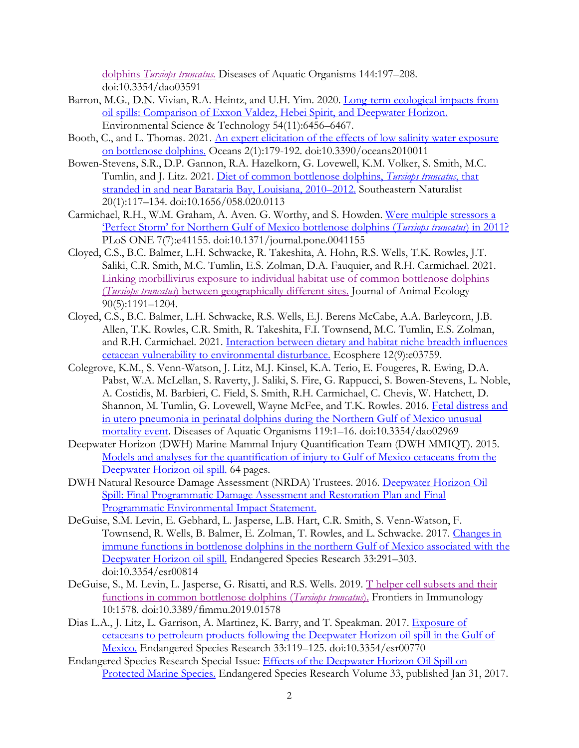dolphins *[Tursiops truncatus.](https://www.int-res.com/articles/dao_oa/d144p197.pdf)* Diseases of Aquatic Organisms 144:197–208. doi:10.3354/dao03591

- Barron, M.G., D.N. Vivian, R.A. Heintz, and U.H. Yim. 2020. [Long-term ecological impacts from](https://pubs.acs.org/doi/pdf/10.1021/acs.est.9b05020)  [oil spills: Comparison of Exxon Valdez, Hebei Spirit, and Deepwater Horizon.](https://pubs.acs.org/doi/pdf/10.1021/acs.est.9b05020) Environmental Science & Technology 54(11):6456–6467.
- Booth, C., and L. Thomas. 2021. [An expert elicitation of the effects of low salinity water exposure](https://www.mdpi.com/2673-1924/2/1/11)  [on bottlenose dolphins.](https://www.mdpi.com/2673-1924/2/1/11) Oceans 2(1):179-192. doi:10.3390/oceans2010011
- Bowen-Stevens, S.R., D.P. Gannon, R.A. Hazelkorn, G. Lovewell, K.M. Volker, S. Smith, M.C. Tumlin, and J. Litz. 2021. [Diet of common bottlenose dolphins,](https://bioone.org/journals/southeastern-naturalist/volume-20/issue-1/058.020.0113/Diet-of-Common-Bottlenose-Dolphins-Tursiops-truncatus-that-Stranded-in/10.1656/058.020.0113.pdf?casa_token=evMwi4wlLzoAAAAA:qPMLwYIVUDbnu5Z_YeC6FuKU3Y6gqsrGpj25ZS82s2caUObxjj1AzW4Os5bHRIbUPDqW9RMUIQ) *Tursiops truncatus*, that [stranded in and near Barataria Bay, Louisiana, 2010](https://bioone.org/journals/southeastern-naturalist/volume-20/issue-1/058.020.0113/Diet-of-Common-Bottlenose-Dolphins-Tursiops-truncatus-that-Stranded-in/10.1656/058.020.0113.pdf?casa_token=evMwi4wlLzoAAAAA:qPMLwYIVUDbnu5Z_YeC6FuKU3Y6gqsrGpj25ZS82s2caUObxjj1AzW4Os5bHRIbUPDqW9RMUIQ)–2012. Southeastern Naturalist 20(1):117–134. doi:10.1656/058.020.0113
- Carmichael, R.H., W.M. Graham, A. Aven. G. Worthy, and S. Howden. [Were multiple stressors a](http://journals.plos.org/plosone/article?id=10.1371/journal.pone.0041155)  ['Perfect Storm' for Northern Gulf of Mexico bottlenose dolphins \(](http://journals.plos.org/plosone/article?id=10.1371/journal.pone.0041155)*Tursiops truncatus*) in 2011? PLoS ONE 7(7):e41155. doi:10.1371/journal.pone.0041155
- Cloyed, C.S., B.C. Balmer, L.H. Schwacke, R. Takeshita, A. Hohn, R.S. Wells, T.K. Rowles, J.T. Saliki, C.R. Smith, M.C. Tumlin, E.S. Zolman, D.A. Fauquier, and R.H. Carmichael. 2021. [Linking morbillivirus exposure to individual habitat use of common bottlenose dolphins](https://besjournals.onlinelibrary.wiley.com/doi/pdfdirect/10.1111/1365-2656.13446?casa_token=taZQ461H9a4AAAAA:v6jVHBkQHUYMUvKq1IBa6xy6ov2hAMZTq-t7k1-bNxpKF-vJUxvw_XPWwNcdAh8l65t9pVa7VbDtG8AT)  (*Tursiops truncatus*[\) between geographically different sites.](https://besjournals.onlinelibrary.wiley.com/doi/pdfdirect/10.1111/1365-2656.13446?casa_token=taZQ461H9a4AAAAA:v6jVHBkQHUYMUvKq1IBa6xy6ov2hAMZTq-t7k1-bNxpKF-vJUxvw_XPWwNcdAh8l65t9pVa7VbDtG8AT) Journal of Animal Ecology 90(5):1191–1204.
- Cloyed, C.S., B.C. Balmer, L.H. Schwacke, R.S. Wells, E.J. Berens McCabe, A.A. Barleycorn, J.B. Allen, T.K. Rowles, C.R. Smith, R. Takeshita, F.I. Townsend, M.C. Tumlin, E.S. Zolman, and R.H. Carmichael. 2021. Interaction [between dietary and habitat niche breadth influences](https://esajournals.onlinelibrary.wiley.com/doi/pdf/10.1002/ecs2.3759)  [cetacean vulnerability to environmental disturbance.](https://esajournals.onlinelibrary.wiley.com/doi/pdf/10.1002/ecs2.3759) Ecosphere 12(9):e03759.
- Colegrove, K.M., S. Venn-Watson, J. Litz, M.J. Kinsel, K.A. Terio, E. Fougeres, R. Ewing, D.A. Pabst, W.A. McLellan, S. Raverty, J. Saliki, S. Fire, G. Rappucci, S. Bowen-Stevens, L. Noble, A. Costidis, M. Barbieri, C. Field, S. Smith, R.H. Carmichael, C. Chevis, W. Hatchett, D. Shannon, M. Tumlin, G. Lovewell, Wayne McFee, and T.K. Rowles. 2016. [Fetal distress and](http://www.int-res.com/abstracts/dao/v119/n1/p1-16/)  [in utero pneumonia in perinatal dolphins during the Northern Gulf of Mexico unusual](http://www.int-res.com/abstracts/dao/v119/n1/p1-16/)  [mortality event.](http://www.int-res.com/abstracts/dao/v119/n1/p1-16/) Diseases of Aquatic Organisms 119:1–16. doi:10.3354/dao02969
- Deepwater Horizon (DWH) Marine Mammal Injury Quantification Team (DWH MMIQT). 2015. [Models and analyses for the quantification of injury to Gulf of Mexico cetaceans from the](https://www.fws.gov/doiddata/dwh-ar-documents/876/DWH-AR0105866.pdf)  [Deepwater Horizon oil spill.](https://www.fws.gov/doiddata/dwh-ar-documents/876/DWH-AR0105866.pdf) 64 pages.
- DWH Natural Resource Damage Assessment (NRDA) Trustees. 2016. [Deepwater Horizon Oil](http://www.gulfspillrestoration.noaa.gov/restoration-planning/gulf-plan)  [Spill: Final Programmatic Damage Assessment and Restoration Plan and Final](http://www.gulfspillrestoration.noaa.gov/restoration-planning/gulf-plan)  [Programmatic Environmental Impact Statement.](http://www.gulfspillrestoration.noaa.gov/restoration-planning/gulf-plan)
- DeGuise, S.M. Levin, E. Gebhard, L. Jasperse, L.B. Hart, C.R. Smith, S. Venn-Watson, F. Townsend, R. Wells, B. Balmer, E. Zolman, T. Rowles, and L. Schwacke. 2017. [Changes in](https://www.int-res.com/articles/esr2017/33/n033p291.pdf)  [immune functions in bottlenose dolphins in the northern Gulf of Mexico associated with the](https://www.int-res.com/articles/esr2017/33/n033p291.pdf)  [Deepwater Horizon oil spill.](https://www.int-res.com/articles/esr2017/33/n033p291.pdf) Endangered Species Research 33:291-303. doi:10.3354/esr00814
- DeGuise, S., M. Levin, L. Jasperse, G. Risatti, and R.S. Wells. 2019. [T helper cell subsets and their](https://www.frontiersin.org/articles/10.3389/fimmu.2019.01578/full)  [functions in common bottlenose dolphins \(](https://www.frontiersin.org/articles/10.3389/fimmu.2019.01578/full)*Tursiops truncatus*). Frontiers in Immunology 10:1578. doi:10.3389/fimmu.2019.01578
- Dias L.A., J. Litz, L. Garrison, A. Martinez, K. Barry, and T. Speakman. 2017. Exposure of [cetaceans to petroleum products following the Deepwater Horizon oil spill in the Gulf of](https://www.int-res.com/articles/esr2017/33/n033p119.pdf)  [Mexico.](https://www.int-res.com/articles/esr2017/33/n033p119.pdf) Endangered Species Research 33:119–125. doi:10.3354/esr00770
- Endangered Species Research Special Issue: [Effects of the Deepwater Horizon Oil Spill on](http://www.int-res.com/abstracts/esr/v33/)  [Protected Marine Species.](http://www.int-res.com/abstracts/esr/v33/) Endangered Species Research Volume 33, published Jan 31, 2017.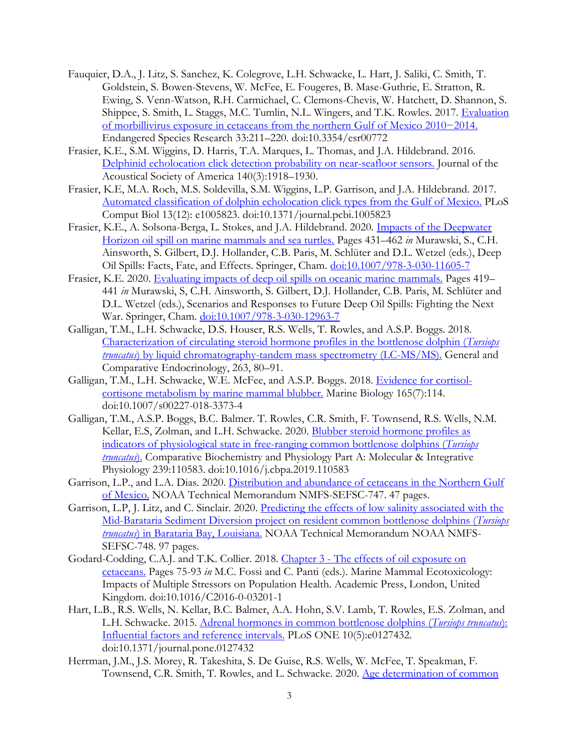- Fauquier, D.A., J. Litz, S. Sanchez, K. Colegrove, L.H. Schwacke, L. Hart, J. Saliki, C. Smith, T. Goldstein, S. Bowen-Stevens, W. McFee, E. Fougeres, B. Mase-Guthrie, E. Stratton, R. Ewing, S. Venn-Watson, R.H. Carmichael, C. Clemons-Chevis, W. Hatchett, D. Shannon, S. Shippee, S. Smith, L. Staggs, M.C. Tumlin, N.L. Wingers, and T.K. Rowles. 2017. Evaluation [of morbillivirus exposure in cetaceans from the northern Gulf of Mexico 2010−2014.](https://www.int-res.com/abstracts/esr/v33/p211-220/) Endangered Species Research 33:211–220. doi:10.3354/esr00772
- Frasier, K.E., S.M. Wiggins, D. Harris, T.A. Marques, L. Thomas, and J.A. Hildebrand. 2016. [Delphinid echolocation click detection probability on near-seafloor sensors.](https://asa.scitation.org/doi/full/10.1121/1.4962279?casa_token=kyMonDkJK9AAAAAA:fYN1yatQ-skJTq3r2r8pL9sKiVu8Ku0h_7ON7FSz_QPzhhDEKKLeb-7TcBT83DiKS3WixwweNTGbTDw) Journal of the Acoustical Society of America 140(3):1918–1930.
- Frasier, K.E, M.A. Roch, M.S. Soldevilla, S.M. Wiggins, L.P. Garrison, and J.A. Hildebrand. 2017. [Automated classification of dolphin echolocation click types from the Gulf of Mexico.](https://journals.plos.org/ploscompbiol/article?id=10.1371/journal.pcbi.1005823) PLoS Comput Biol 13(12): e1005823. doi:10.1371/journal.pcbi.1005823
- Frasier, K.E., A. Solsona-Berga, L. Stokes, and J.A. Hildebrand. 2020. Impacts [of the Deepwater](https://link.springer.com/chapter/10.1007/978-3-030-11605-7_26)  [Horizon oil spill on marine mammals and sea turtles.](https://link.springer.com/chapter/10.1007/978-3-030-11605-7_26) Pages 431–462 *in* Murawski, S., C.H. Ainsworth, S. Gilbert, D.J. Hollander, C.B. Paris, M. Schlüter and D.L. Wetzel (eds.), Deep Oil Spills: Facts, Fate, and Effects. Springer, Cham. [doi:10.1007/978-3-030-11605-7](https://doi.org/10.1007/978-3-030-11605-7)
- Frasier, K.E. 2020. [Evaluating impacts of deep oil spills on oceanic marine mammals.](https://link.springer.com/chapter/10.1007/978-3-030-12963-7_25) Pages 419– 441 *in* Murawski, S, C.H. Ainsworth, S. Gilbert, D.J. Hollander, C.B. Paris, M. Schlüter and D.L. Wetzel (eds.), Scenarios and Responses to Future Deep Oil Spills: Fighting the Next War. Springer, Cham. [doi:10.1007/978-3-030-12963-7](https://doi.org/10.1007/978-3-030-12963-7)
- Galligan, T.M., L.H. Schwacke, D.S. Houser, R.S. Wells, T. Rowles, and A.S.P. Boggs. 2018. [Characterization of circulating steroid hormone profiles in the bottlenose dolphin \(](https://www.sciencedirect.com/science/article/pii/S0016648017307001)*Tursiops truncatus*[\) by liquid chromatography-tandem mass spectrometry \(LC-MS/MS\).](https://www.sciencedirect.com/science/article/pii/S0016648017307001) General and Comparative Endocrinology, 263, 80–91.
- Galligan, T.M., L.H. Schwacke, W.E. McFee, and A.S.P. Boggs. 2018. [Evidence for cortisol](https://link.springer.com/article/10.1007/s00227-018-3373-4)[cortisone metabolism by marine mammal blubber.](https://link.springer.com/article/10.1007/s00227-018-3373-4) Marine Biology 165(7):114. doi:10.1007/s00227-018-3373-4
- Galligan, T.M., A.S.P. Boggs, B.C. Balmer. T. Rowles, C.R. Smith, F. Townsend, R.S. Wells, N.M. Kellar, E.S, Zolman, and L.H. Schwacke. 2020. [Blubber steroid hormone profiles as](https://www.sciencedirect.com/science/article/pii/S1095643319303472)  [indicators of physiological state in free-ranging common bottlenose dolphins \(](https://www.sciencedirect.com/science/article/pii/S1095643319303472)*Tursiops [truncatus](https://www.sciencedirect.com/science/article/pii/S1095643319303472)*). Comparative Biochemistry and Physiology Part A: Molecular & Integrative Physiology 239:110583. doi:10.1016/j.cbpa.2019.110583
- Garrison, L.P., and L.A. Dias. 2020. [Distribution and abundance of cetaceans in the Northern Gulf](https://repository.library.noaa.gov/view/noaa/25568)  [of Mexico.](https://repository.library.noaa.gov/view/noaa/25568) NOAA Technical Memorandum NMFS-SEFSC-747. 47 pages.
- Garrison, L.P, J. Litz, and C. Sinclair. 2020. [Predicting the effects of low salinity associated with the](https://repository.library.noaa.gov/view/noaa/27907)  [Mid-Barataria Sediment Diversion project on resident common bottlenose dolphins \(](https://repository.library.noaa.gov/view/noaa/27907)*Tursiops truncatus*[\) in Barataria Bay, Louisiana.](https://repository.library.noaa.gov/view/noaa/27907) NOAA Technical Memorandum NOAA NMFS-SEFSC-748. 97 pages.
- Godard-Codding, C.A.J. and T.K. Collier. 2018. Chapter 3 [The effects of oil exposure on](https://www.sciencedirect.com/science/article/pii/B9780128121443000036)  [cetaceans.](https://www.sciencedirect.com/science/article/pii/B9780128121443000036) Pages 75-93 *in* M.C. Fossi and C. Panti (eds.). Marine Mammal Ecotoxicology: Impacts of Multiple Stressors on Population Health. Academic Press, London, United Kingdom. doi:10.1016/C2016-0-03201-1
- Hart, L.B., R.S. Wells, N. Kellar, B.C. Balmer, A.A. Hohn, S.V. Lamb, T. Rowles, E.S. Zolman, and L.H. Schwacke. 2015. [Adrenal hormones in common bottlenose dolphins \(](http://journals.plos.org/plosone/article?id=10.1371/journal.pone.0127432)*Tursiops truncatus*): [Influential factors and reference intervals.](http://journals.plos.org/plosone/article?id=10.1371/journal.pone.0127432) PLoS ONE 10(5):e0127432. doi:10.1371/journal.pone.0127432
- Herrman, J.M., J.S. Morey, R. Takeshita, S. De Guise, R.S. Wells, W. McFee, T. Speakman, F. Townsend, C.R. Smith, T. Rowles, and L. Schwacke. 2020. Age determination of common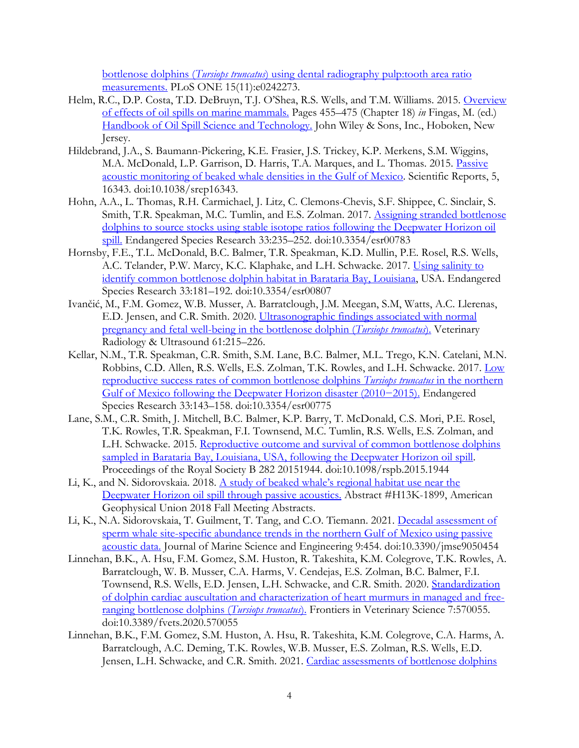bottlenose dolphins (*Tursiops truncatus*[\) using dental radiography pulp:tooth area ratio](https://journals.plos.org/plosone/article?id=10.1371/journal.pone.0242273)  [measurements.](https://journals.plos.org/plosone/article?id=10.1371/journal.pone.0242273) PLoS ONE 15(11):e0242273.

- Helm, R.C., D.P. Costa, T.D. DeBruyn, T.J. O'Shea, R.S. Wells, and T.M. Williams. 2015. Overview [of effects of oil spills on marine mammals.](https://onlinelibrary.wiley.com/doi/pdf/10.1002/9781118989982.ch18) Pages 455–475 (Chapter 18) *in* Fingas, M. (ed.) [Handbook of Oil Spill Science and Technology.](https://onlinelibrary.wiley.com/doi/book/10.1002/9781118989982) John Wiley & Sons, Inc., Hoboken, New Jersey.
- Hildebrand, J.A., S. Baumann-Pickering, K.E. Frasier, J.S. Trickey, K.P. Merkens, S.M. Wiggins, M.A. McDonald, L.P. Garrison, D. Harris, T.A. Marques, and L. Thomas. 2015. [Passive](http://www.nature.com/articles/srep16343)  [acoustic monitoring of beaked whale densities in the Gulf of Mexico.](http://www.nature.com/articles/srep16343) Scientific Reports, 5, 16343. doi:10.1038/srep16343.
- Hohn, A.A., L. Thomas, R.H. Carmichael, J. Litz, C. Clemons-Chevis, S.F. Shippee, C. Sinclair, S. Smith, T.R. Speakman, M.C. Tumlin, and E.S. Zolman. 2017. [Assigning stranded bottlenose](https://www.int-res.com/articles/esr2017/33/n033p235.pdf)  dolphins to [source stocks using stable isotope ratios following](https://www.int-res.com/articles/esr2017/33/n033p235.pdf) the Deepwater Horizon oil [spill.](https://www.int-res.com/articles/esr2017/33/n033p235.pdf) Endangered Species Research 33:235–252. doi:10.3354/esr00783
- Hornsby, F.E., T.L. McDonald, B.C. Balmer, T.R. Speakman, K.D. Mullin, P.E. Rosel, R.S. Wells, A.C. Telander, P.W. Marcy, K.C. Klaphake, and L.H. Schwacke. 2017. [Using salinity to](https://www.int-res.com/articles/esr2017/33/n033p181.pdf)  [identify common bottlenose dolphin habitat in Barataria Bay, Louisiana,](https://www.int-res.com/articles/esr2017/33/n033p181.pdf) USA. Endangered Species Research 33:181–192. doi:10.3354/esr00807
- Ivančić, M., F.M. Gomez, W.B. Musser, A. Barratclough, J.M. Meegan, S.M, Watts, A.C. Llerenas, E.D. Jensen, and C.R. Smith. 2020. [Ultrasonographic findings associated with normal](https://onlinelibrary.wiley.com/doi/pdfdirect/10.1111/vru.12835)  [pregnancy and fetal well-being in the bottlenose dolphin \(](https://onlinelibrary.wiley.com/doi/pdfdirect/10.1111/vru.12835)*Tursiops truncatus*). Veterinary Radiology & Ultrasound 61:215–226.
- Kellar, N.M., T.R. Speakman, C.R. Smith, S.M. Lane, B.C. Balmer, M.L. Trego, K.N. Catelani, M.N. Robbins, C.D. Allen, R.S. Wells, E.S. Zolman, T.K. Rowles, and L.H. Schwacke. 2017. [Low](https://www.int-res.com/articles/esr2017/33/n033p143.pdf)  [reproductive success rates of common bottlenose dolphins](https://www.int-res.com/articles/esr2017/33/n033p143.pdf) *Tursiops truncatus* in the northern [Gulf of Mexico following the Deepwater Horizon disaster \(2010−2015\).](https://www.int-res.com/articles/esr2017/33/n033p143.pdf) Endangered Species Research 33:143–158. doi:10.3354/esr00775
- Lane, S.M., C.R. Smith, J. Mitchell, B.C. Balmer, K.P. Barry, T. McDonald, C.S. Mori, P.E. Rosel, T.K. Rowles, T.R. Speakman, F.I. Townsend, M.C. Tumlin, R.S. Wells, E.S. Zolman, and L.H. Schwacke. 2015. [Reproductive outcome and survival](http://rspb.royalsocietypublishing.org/content/282/1818/20151944) of common bottlenose dolphins [sampled in Barataria Bay, Louisiana, USA, following the Deepwater Horizon oil spill.](http://rspb.royalsocietypublishing.org/content/282/1818/20151944) Proceedings of the Royal Society B 282 20151944. doi:10.1098/rspb.2015.1944
- Li, K., and N. Sidorovskaia. 2018. [A study of beaked whale's regional habitat use near the](http://adsabs.harvard.edu/abs/2018AGUFM.H13K1899L)  [Deepwater Horizon oil spill through passive acoustics.](http://adsabs.harvard.edu/abs/2018AGUFM.H13K1899L) Abstract #H13K-1899, American Geophysical Union 2018 Fall Meeting Abstracts.
- Li, K., N.A. Sidorovskaia, T. Guilment, T. Tang, and C.O. Tiemann. 2021. [Decadal assessment of](https://www.mdpi.com/2077-1312/9/5/454/pdf)  [sperm whale site-specific abundance trends in](https://www.mdpi.com/2077-1312/9/5/454/pdf) the northern Gulf of Mexico using passive [acoustic data.](https://www.mdpi.com/2077-1312/9/5/454/pdf) Journal of Marine Science and Engineering 9:454. doi:10.3390/jmse9050454
- Linnehan, B.K., A. Hsu, F.M. Gomez, S.M. Huston, R. Takeshita, K.M. Colegrove, T.K. Rowles, A. Barratclough, W. B. Musser, C.A. Harms, V. Cendejas, E.S. Zolman, B.C. Balmer, F.I. Townsend, R.S. Wells, E.D. Jensen, L.H. Schwacke, and C.R. Smith. 2020. Standardization [of dolphin cardiac auscultation and characterization of heart murmurs in managed and free](https://www.frontiersin.org/articles/10.3389/fvets.2020.570055/full?fbclid=IwAR12WIF-jZ47qDdMg2aMZ48Ddk50x0gSixASTKdFreZkii1QdTM9dcwnc4g)[ranging bottlenose dolphins \(](https://www.frontiersin.org/articles/10.3389/fvets.2020.570055/full?fbclid=IwAR12WIF-jZ47qDdMg2aMZ48Ddk50x0gSixASTKdFreZkii1QdTM9dcwnc4g)*Tursiops truncatus*). Frontiers in Veterinary Science 7:570055. doi:10.3389/fvets.2020.570055
- Linnehan, B.K., F.M. Gomez, S.M. Huston, A. Hsu, R. Takeshita, K.M. Colegrove, C.A. Harms, A. Barratclough, A.C. Deming, T.K. Rowles, W.B. Musser, E.S. Zolman, R.S. Wells, E.D. Jensen, L.H. Schwacke, and C.R. Smith. 2021. [Cardiac assessments of bottlenose dolphins](https://journals.plos.org/plosone/article/file?id=10.1371/journal.pone.0261112&type=printable)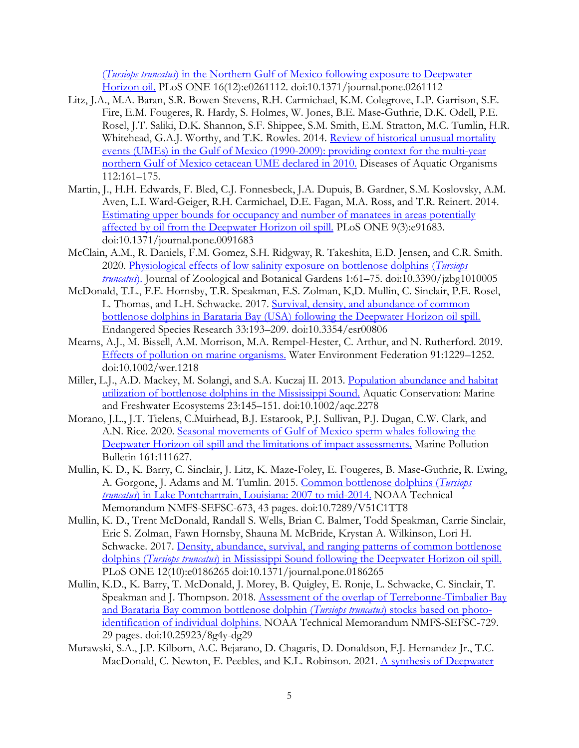(*Tursiops truncatus*) in the Northern Gulf of Mexico [following exposure to Deepwater](https://journals.plos.org/plosone/article/file?id=10.1371/journal.pone.0261112&type=printable)  [Horizon oil.](https://journals.plos.org/plosone/article/file?id=10.1371/journal.pone.0261112&type=printable) PLoS ONE 16(12):e0261112. doi:10.1371/journal.pone.0261112

- Litz, J.A., M.A. Baran, S.R. Bowen-Stevens, R.H. Carmichael, K.M. Colegrove, L.P. Garrison, S.E. Fire, E.M. Fougeres, R. Hardy, S. Holmes, W. Jones, B.E. Mase-Guthrie, D.K. Odell, P.E. Rosel, J.T. Saliki, D.K. Shannon, S.F. Shippee, S.M. Smith, E.M. Stratton, M.C. Tumlin, H.R. Whitehead, G.A.J. Worthy, and T.K. Rowles. 2014. Review of historical unusual mortality [events \(UMEs\) in the Gulf of Mexico \(1990-2009\): providing context for the multi-year](http://www.int-res.com/articles/dao_oa/d112p161.pdf)  [northern Gulf of Mexico cetacean UME declared in 2010.](http://www.int-res.com/articles/dao_oa/d112p161.pdf) Diseases of Aquatic Organisms 112:161–175.
- Martin, J., H.H. Edwards, F. Bled, C.J. Fonnesbeck, J.A. Dupuis, B. Gardner, S.M. Koslovsky, A.M. Aven, L.I. Ward-Geiger, R.H. Carmichael, D.E. Fagan, M.A. Ross, and T.R. Reinert. 2014. [Estimating upper bounds for occupancy and number of manatees in areas potentially](http://journals.plos.org/plosone/article?id=10.1371/journal.pone.0091683)  [affected by oil from the Deepwater Horizon oil spill.](http://journals.plos.org/plosone/article?id=10.1371/journal.pone.0091683) PLoS ONE 9(3):e91683. doi:10.1371/journal.pone.0091683
- McClain, A.M., R. Daniels, F.M. Gomez, S.H. Ridgway, R. Takeshita, E.D. Jensen, and C.R. Smith. 2020. [Physiological effects of low salinity exposure on bottlenose dolphins \(](https://www.mdpi.com/2673-5636/1/1/5)*Tursiops [truncatus](https://www.mdpi.com/2673-5636/1/1/5)*). Journal of Zoological and Botanical Gardens 1:61–75. doi:10.3390/jzbg1010005
- McDonald, T.L., F.E. Hornsby, T.R. Speakman, E.S. Zolman, K,D. Mullin, C. Sinclair, P.E. Rosel, L. Thomas, and L.H. Schwacke. 2017. [Survival, density, and abundance of common](https://www.int-res.com/articles/esr2017/33/n033p193.pdf)  bottlenose [dolphins in Barataria Bay \(USA\) following the Deepwater Horizon oil spill.](https://www.int-res.com/articles/esr2017/33/n033p193.pdf) Endangered Species Research 33:193–209. doi:10.3354/esr00806
- Mearns, A.J., M. Bissell, A.M. Morrison, M.A. Rempel-Hester, C. Arthur, and N. Rutherford. 2019. [Effects of pollution on marine organisms.](https://onlinelibrary.wiley.com/doi/epdf/10.1002/wer.1218) Water Environment Federation 91:1229–1252. doi:10.1002/wer.1218
- Miller, L.J., A.D. Mackey, M. Solangi, and S.A. Kuczaj II. 2013. [Population abundance and habitat](https://onlinelibrary.wiley.com/doi/full/10.1002/aqc.2278?casa_token=gAzTkXpLnHMAAAAA%3AU4v2oEWRxOUq5cfKawq2mnK8oeuIaW1Wkd3MspXgh8oqJa-WHaLbQEkS_A0ZWv3IjD1HYPg-N2mXPjg)  [utilization of bottlenose dolphins in the Mississippi Sound.](https://onlinelibrary.wiley.com/doi/full/10.1002/aqc.2278?casa_token=gAzTkXpLnHMAAAAA%3AU4v2oEWRxOUq5cfKawq2mnK8oeuIaW1Wkd3MspXgh8oqJa-WHaLbQEkS_A0ZWv3IjD1HYPg-N2mXPjg) Aquatic Conservation: Marine and Freshwater Ecosystems 23:145–151. doi:10.1002/aqc.2278
- Morano, J.L., J.T. Tielens, C.Muirhead, B.J. Estarook, P.J. Sullivan, P.J. Dugan, C.W. Clark, and A.N. Rice. 2020. [Seasonal movements of Gulf of Mexico sperm whales following the](https://www.sciencedirect.com/science/article/pii/S0025326X20307451)  [Deepwater Horizon oil spill and the limitations of impact assessments.](https://www.sciencedirect.com/science/article/pii/S0025326X20307451) Marine Pollution Bulletin 161:111627.
- Mullin, K. D., K. Barry, C. Sinclair, J. Litz, K. Maze-Foley, E. Fougeres, B. Mase-Guthrie, R. Ewing, A. Gorgone, J. Adams and M. Tumlin. 2015. [Common](https://repository.library.noaa.gov/view/noaa/4859) bottlenose dolphins (*Tursiops truncatus*) in Lake Pontchartrain, Louisiana: 2007 to mid-2014. NOAA Technical Memorandum NMFS-SEFSC-673, 43 pages. doi:10.7289/V51C1TT8
- Mullin, K. D., Trent McDonald, Randall S. Wells, Brian C. Balmer, Todd Speakman, Carrie Sinclair, Eric S. Zolman, Fawn Hornsby, Shauna M. McBride, Krystan A. Wilkinson, Lori H. Schwacke. 2017. Density, abundance, survival, and ranging patterns of common bottlenose dolphins (*Tursiops truncatus*[\) in Mississippi Sound following the Deepwater Horizon oil spill.](http://journals.plos.org/plosone/article?id=10.1371/journal.pone.0186265) PLoS ONE 12(10):e0186265 doi:10.1371/journal.pone.0186265
- Mullin, K.D., K. Barry, T. McDonald, J. Morey, B. Quigley, E. Ronje, L. Schwacke, C. Sinclair, T. Speakman and J. Thompson. 2018. [Assessment of the overlap of Terrebonne-Timbalier Bay](https://www.researchgate.net/publication/339697265_ASSESSMENT_OF_THE_OVERLAP_OF_TERREBONNE_-TIMBALIER_BAY_AND_BARATARIA_BAY_COMMON_BOTTLENOSE_DOLPHIN_TURSIOPS_TRUNCATUS_STOCKS_BASED_ON_PHOTO-IDENTIFICATION_OF_INDIVIDUAL_DOLPHINS)  [and Barataria Bay common bottlenose dolphin \(](https://www.researchgate.net/publication/339697265_ASSESSMENT_OF_THE_OVERLAP_OF_TERREBONNE_-TIMBALIER_BAY_AND_BARATARIA_BAY_COMMON_BOTTLENOSE_DOLPHIN_TURSIOPS_TRUNCATUS_STOCKS_BASED_ON_PHOTO-IDENTIFICATION_OF_INDIVIDUAL_DOLPHINS)*Tursiops truncatus*) stocks based on photo[identification of individual dolphins.](https://www.researchgate.net/publication/339697265_ASSESSMENT_OF_THE_OVERLAP_OF_TERREBONNE_-TIMBALIER_BAY_AND_BARATARIA_BAY_COMMON_BOTTLENOSE_DOLPHIN_TURSIOPS_TRUNCATUS_STOCKS_BASED_ON_PHOTO-IDENTIFICATION_OF_INDIVIDUAL_DOLPHINS) NOAA Technical Memorandum NMFS-SEFSC-729. 29 pages. doi:10.25923/8g4y-dg29
- Murawski, S.A., J.P. Kilborn, A.C. Bejarano, D. Chagaris, D. Donaldson, F.J. Hernandez Jr., T.C. MacDonald, C. Newton, E. Peebles, and K.L. Robinson. 2021. [A synthesis of Deepwater](https://www.frontiersin.org/articles/10.3389/fmars.2020.594862/full)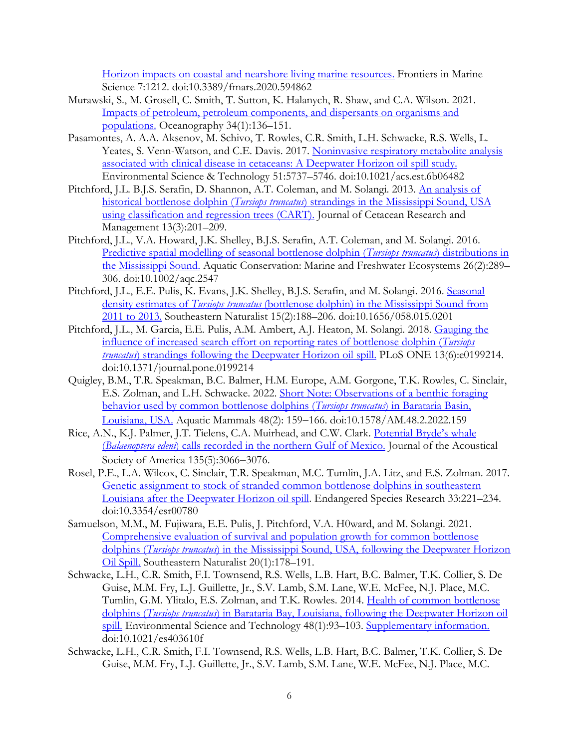[Horizon impacts on coastal and nearshore living marine resources.](https://www.frontiersin.org/articles/10.3389/fmars.2020.594862/full) Frontiers in Marine Science 7:1212. doi:10.3389/fmars.2020.594862

- Murawski, S., M. Grosell, C. Smith, T. Sutton, K. Halanych, R. Shaw, and C.A. Wilson. 2021. [Impacts of petroleum, petroleum components, and dispersants on organisms and](https://www.jstor.org/stable/27020066)  [populations.](https://www.jstor.org/stable/27020066) Oceanography 34(1):136–151.
- Pasamontes, A. A.A. Aksenov, M. Schivo, T. Rowles, C.R. Smith, L.H. Schwacke, R.S. Wells, L. Yeates, S. Venn-Watson, and C.E. Davis. 2017. Noninvasive respiratory metabolite analysis [associated with clinical disease in cetaceans: A Deepwater Horizon oil spill study.](https://pubs.acs.org/doi/abs/10.1021/acs.est.6b06482) Environmental Science & Technology 51:5737–5746. doi:10.1021/acs.est.6b06482
- Pitchford, J.L. B.J.S. Serafin, D. Shannon, A.T. Coleman, and M. Solangi. 2013. [An analysis of](https://www.researchgate.net/profile/Jonathan_Pitchford/publication/288548017_An_analysis_of_historical_bottlenose_dolphin_Tursiops_truncatus_strandings_in_the_Mississippi_sound_USA_using_classification_and_regression_trees_CART/links/56b35a4c08ae156bc5fb1e32/An-analysis-of-historical-bottlenose-dolphin-Tursiops-truncatus-strandings-in-the-Mississippi-sound-USA-using-classification-and-regression-trees-CART.pdf)  historical bottlenose dolphin (*Tursiops truncatus*[\) strandings in the Mississippi Sound, USA](https://www.researchgate.net/profile/Jonathan_Pitchford/publication/288548017_An_analysis_of_historical_bottlenose_dolphin_Tursiops_truncatus_strandings_in_the_Mississippi_sound_USA_using_classification_and_regression_trees_CART/links/56b35a4c08ae156bc5fb1e32/An-analysis-of-historical-bottlenose-dolphin-Tursiops-truncatus-strandings-in-the-Mississippi-sound-USA-using-classification-and-regression-trees-CART.pdf)  [using classification and regression trees \(CART\).](https://www.researchgate.net/profile/Jonathan_Pitchford/publication/288548017_An_analysis_of_historical_bottlenose_dolphin_Tursiops_truncatus_strandings_in_the_Mississippi_sound_USA_using_classification_and_regression_trees_CART/links/56b35a4c08ae156bc5fb1e32/An-analysis-of-historical-bottlenose-dolphin-Tursiops-truncatus-strandings-in-the-Mississippi-sound-USA-using-classification-and-regression-trees-CART.pdf) Journal of Cetacean Research and Management 13(3):201–209.
- Pitchford, J.L., V.A. Howard, J.K. Shelley, B.J.S. Serafin, A.T. Coleman, and M. Solangi. 2016. [Predictive spatial modelling of seasonal bottlenose dolphin \(](https://onlinelibrary.wiley.com/doi/full/10.1002/aqc.2547?casa_token=NtEhEv0hCpEAAAAA%3AI1czjR6fNi6QPH9bYOQTeJJ6lS1M_sU6g0JiDX3ulD2E1ls_pvrDOXQJIEII4tSGUp4wXnp0l1GDHQQ)*Tursiops truncatus*) distributions in [the Mississippi Sound.](https://onlinelibrary.wiley.com/doi/full/10.1002/aqc.2547?casa_token=NtEhEv0hCpEAAAAA%3AI1czjR6fNi6QPH9bYOQTeJJ6lS1M_sU6g0JiDX3ulD2E1ls_pvrDOXQJIEII4tSGUp4wXnp0l1GDHQQ) Aquatic Conservation: Marine and Freshwater Ecosystems 26(2):289– 306. doi:10.1002/aqc.2547
- Pitchford, J.L., E.E. Pulis, K. Evans, J.K. Shelley, B.J.S. Serafin, and M. Solangi. 2016. Seasonal density estimates of *Tursiops truncatus* [\(bottlenose dolphin\) in the Mississippi Sound from](https://bioone.org/journals/Southeastern-Naturalist/volume-15/issue-2/058.015.0201/Seasonal-Density-Estimates-of-iTursiops-truncatus-i-Bottlenose-Dolphin-in/10.1656/058.015.0201.short)  [2011 to 2013.](https://bioone.org/journals/Southeastern-Naturalist/volume-15/issue-2/058.015.0201/Seasonal-Density-Estimates-of-iTursiops-truncatus-i-Bottlenose-Dolphin-in/10.1656/058.015.0201.short) Southeastern Naturalist 15(2):188–206. doi:10.1656/058.015.0201
- Pitchford, J.L., M. Garcia, E.E. Pulis, A.M. Ambert, A.J. Heaton, M. Solangi. 2018. [Gauging the](https://journals.plos.org/plosone/article?id=10.1371/journal.pone.0199214)  [influence of increased search effort on reporting rates of bottlenose dolphin \(](https://journals.plos.org/plosone/article?id=10.1371/journal.pone.0199214)*Tursiops truncatus*) strandings [following the Deepwater Horizon oil spill.](https://journals.plos.org/plosone/article?id=10.1371/journal.pone.0199214) PLoS ONE 13(6):e0199214. doi:10.1371/journal.pone.0199214
- Quigley, B.M., T.R. Speakman, B.C. Balmer, H.M. Europe, A.M. Gorgone, T.K. Rowles, C. Sinclair, E.S. Zolman, and L.H. Schwacke. 2022. [Short Note: Observations of a benthic foraging](https://www.aquaticmammalsjournal.org/index.php?option=com_content&view=article&id=2188:observations-of-a-benthic-foraging-behavior-used-by-common-bottlenose-dolphins-tursiops-truncatus-in-barataria-basin-louisiana-usa&catid=206&Itemid=326)  [behavior used by common bottlenose dolphins \(](https://www.aquaticmammalsjournal.org/index.php?option=com_content&view=article&id=2188:observations-of-a-benthic-foraging-behavior-used-by-common-bottlenose-dolphins-tursiops-truncatus-in-barataria-basin-louisiana-usa&catid=206&Itemid=326)*Tursiops truncatus*) in Barataria Basin, [Louisiana, USA.](https://www.aquaticmammalsjournal.org/index.php?option=com_content&view=article&id=2188:observations-of-a-benthic-foraging-behavior-used-by-common-bottlenose-dolphins-tursiops-truncatus-in-barataria-basin-louisiana-usa&catid=206&Itemid=326) Aquatic Mammals 48(2): 159−166. doi:10.1578/AM.48.2.2022.159
- Rice, A.N., K.J. Palmer, J.T. Tielens, C.A. Muirhead, and C.W. Clark. [Potential Bryde's whale](https://www.researchgate.net/profile/Aaron-Rice-2/publication/263100290_Potential_Bryde)  (*Balaenoptera edeni*[\) calls recorded in the northern Gulf of Mexico.](https://www.researchgate.net/profile/Aaron-Rice-2/publication/263100290_Potential_Bryde) Journal of the Acoustical Society of America 135(5):3066−3076.
- Rosel, P.E., L.A. Wilcox, C. Sinclair, T.R. Speakman, M.C. Tumlin, J.A. Litz, and E.S. Zolman. 2017. Genetic assignment to stock of stranded [common bottlenose dolphins in southeastern](https://www.int-res.com/articles/esr2017/33/n033p221.pdf)  [Louisiana after the Deepwater Horizon oil spill.](https://www.int-res.com/articles/esr2017/33/n033p221.pdf) Endangered Species Research 33:221–234. doi:10.3354/esr00780
- Samuelson, M.M., M. Fujiwara, E.E. Pulis, J. Pitchford, V.A. H0ward, and M. Solangi. 2021. [Comprehensive evaluation of survival and population growth for common bottlenose](https://bioone.org/journals/southeastern-naturalist/issues)  dolphins (*Tursiops truncatus*[\) in the Mississippi Sound, USA, following the Deepwater Horizon](https://bioone.org/journals/southeastern-naturalist/issues)  [Oil Spill.](https://bioone.org/journals/southeastern-naturalist/issues) Southeastern Naturalist 20(1):178–191.
- Schwacke, L.H., C.R. Smith, F.I. Townsend, R.S. Wells, L.B. Hart, B.C. Balmer, T.K. Collier, S. De Guise, M.M. Fry, L.J. Guillette, Jr., S.V. Lamb, S.M. Lane, W.E. McFee, N.J. Place, M.C. Tumlin, G.M. Ylitalo, E.S. Zolman, and T.K. Rowles. 2014. [Health of common bottlenose](https://pubs.acs.org/doi/full/10.1021/es403610f)  dolphins (*Tursiops truncatus*[\) in Barataria Bay, Louisiana, following the Deepwater Horizon oil](https://pubs.acs.org/doi/full/10.1021/es403610f)  [spill.](https://pubs.acs.org/doi/full/10.1021/es403610f) Environmental Science and Technology 48(1):93–103. [Supplementary information.](http://pubs.acs.org/doi/suppl/10.1021/es403610f/suppl_file/es403610f_si_001.pdf) doi:10.1021/es403610f
- Schwacke, L.H., C.R. Smith, F.I. Townsend, R.S. Wells, L.B. Hart, B.C. Balmer, T.K. Collier, S. De Guise, M.M. Fry, L.J. Guillette, Jr., S.V. Lamb, S.M. Lane, W.E. McFee, N.J. Place, M.C.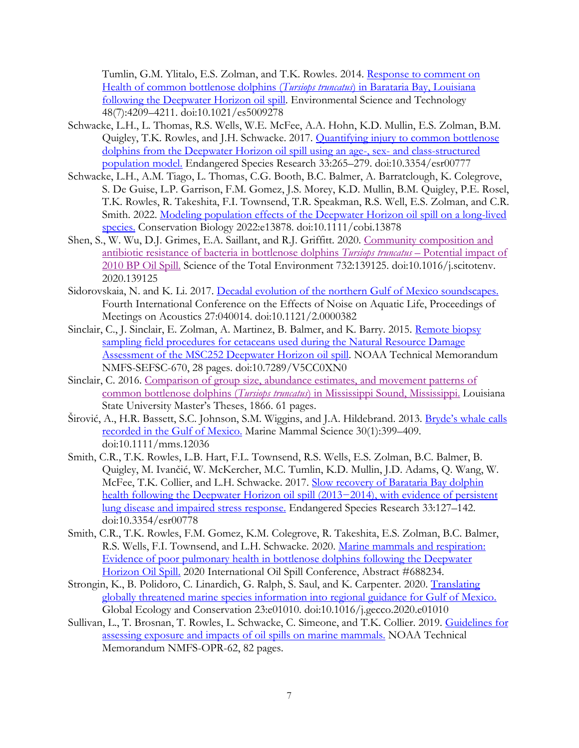Tumlin, G.M. Ylitalo, E.S. Zolman, and T.K. Rowles. 2014. [Response to comment on](http://pubs.acs.org/doi/full/10.1021/es5009278)  [Health of common bottlenose dolphins \(](http://pubs.acs.org/doi/full/10.1021/es5009278)*Tursiops truncatus*) in Barataria Bay, Louisiana [following the Deepwater Horizon oil spill.](http://pubs.acs.org/doi/full/10.1021/es5009278) Environmental Science and Technology 48(7):4209–4211. doi:10.1021/es5009278

- Schwacke, L.H., L. Thomas, R.S. Wells, W.E. McFee, A.A. Hohn, K.D. Mullin, E.S. Zolman, B.M. Quigley, T.K. Rowles, and J.H. Schwacke. 2017. **Quantifying injury to common bottlenose** [dolphins from the Deepwater Horizon oil spill using an age-, sex-](https://www.int-res.com/articles/esr2017/33/n033p265.pdf) and class-structured [population model.](https://www.int-res.com/articles/esr2017/33/n033p265.pdf) Endangered Species Research 33:265–279. doi:10.3354/esr00777
- Schwacke, L.H., A.M. Tiago, L. Thomas, C.G. Booth, B.C. Balmer, A. Barratclough, K. Colegrove, S. De Guise, L.P. Garrison, F.M. Gomez, J.S. Morey, K.D. Mullin, B.M. Quigley, P.E. Rosel, T.K. Rowles, R. Takeshita, F.I. Townsend, T.R. Speakman, R.S. Well, E.S. Zolman, and C.R. Smith. 2022. [Modeling population effects of the Deepwater Horizon oil spill on a long-lived](https://conbio.onlinelibrary.wiley.com/doi/pdfdirect/10.1111/cobi.13878?download=true)  [species.](https://conbio.onlinelibrary.wiley.com/doi/pdfdirect/10.1111/cobi.13878?download=true) Conservation Biology 2022:e13878. doi:10.1111/cobi.13878
- Shen, S., W. Wu, D.J. Grimes, E.A. Saillant, and R.J. Griffitt. 2020. [Community composition and](https://www.sciencedirect.com/science/article/abs/pii/S0048969720326425)  [antibiotic resistance of bacteria in bottlenose dolphins](https://www.sciencedirect.com/science/article/abs/pii/S0048969720326425) *Tursiops truncatus* – Potential impact of [2010 BP Oil Spill.](https://www.sciencedirect.com/science/article/abs/pii/S0048969720326425) Science of the Total Environment 732:139125. doi:10.1016/j.scitotenv. 2020.139125
- Sidorovskaia, N. and K. Li. 2017. [Decadal evolution of the northern Gulf of Mexico soundscapes.](https://asa.scitation.org/doi/pdf/10.1121/2.0000382) Fourth International Conference on the Effects of Noise on Aquatic Life, Proceedings of Meetings on Acoustics 27:040014. doi:10.1121/2.0000382
- Sinclair, C., J. Sinclair, E. Zolman, A. Martinez, B. Balmer, and K. Barry. 2015. [Remote biopsy](https://repository.library.noaa.gov/view/noaa/4846)  [sampling field procedures for cetaceans used during the Natural Resource Damage](https://repository.library.noaa.gov/view/noaa/4846)  [Assessment of the MSC252 Deepwater Horizon oil spill.](https://repository.library.noaa.gov/view/noaa/4846) NOAA Technical Memorandum NMFS-SEFSC-670, 28 pages. doi:10.7289/V5CC0XN0
- Sinclair, C. 2016. [Comparison of group size, abundance estimates, and movement patterns of](http://digitalcommons.lsu.edu/cgi/viewcontent.cgi?article=2865&context=gradschool_theses)  [common bottlenose](http://digitalcommons.lsu.edu/cgi/viewcontent.cgi?article=2865&context=gradschool_theses) dolphins (*Tursiops truncatus*) in Mississippi Sound, Mississippi. Louisiana State University Master's Theses, 1866. 61 pages.
- Širović, A., H.R. Bassett, S.C. Johnson, S.M. Wiggins, and J.A. Hildebrand. 2013. Bryde'[s whale calls](https://www.cetus.ucsd.edu/docs/publications/SirovicMMS014.pdf)  [recorded in the Gulf of Mexico.](https://www.cetus.ucsd.edu/docs/publications/SirovicMMS014.pdf) Marine Mammal Science 30(1):399–409. doi:10.1111/mms.12036
- Smith, C.R., T.K. Rowles, L.B. Hart, F.L. Townsend, R.S. Wells, E.S. Zolman, B.C. Balmer, B. Quigley, M. Ivančić, W. McKercher, M.C. Tumlin, K.D. Mullin, J.D. Adams, Q. Wang, W. McFee, T.K. Collier, and L.H. Schwacke. 2017. Slow recovery of Barataria Bay dolphin health following the Deepwater Horizon oil spill (2013−2014), with evidence of persistent [lung disease and impaired stress response.](https://www.int-res.com/articles/esr2017/33/n033p127.pdf) Endangered Species Research 33:127–142. doi:10.3354/esr00778
- Smith, C.R., T.K. Rowles, F.M. Gomez, K.M. Colegrove, R. Takeshita, E.S. Zolman, B.C. Balmer, R.S. Wells, F.I. Townsend, and L.H. Schwacke. 2020. [Marine mammals and respiration:](https://watermark.silverchair.com/i2169-3358-2021-1-688234.pdf?token=AQECAHi208BE49Ooan9kkhW_Ercy7Dm3ZL_9Cf3qfKAc485ysgAAAvQwggLwBgkqhkiG9w0BBwagggLhMIIC3QIBADCCAtYGCSqGSIb3DQEHATAeBglghkgBZQMEAS4wEQQMyfvs2srgr6req4YBAgEQgIICpw8Vq0oXjZz9NrJ8znJC6X_NUB0Pu04v9o5FOzXA8AJ32oPG2LEA9x7nI_x2W4LfOiPc5Vje9zG2XQDb_4mMOBf0g_S7Wr-LhMKZCBo5ygNShGRwSGgLIxrOdwCL0QGXCsTCX4PUIPJz7BsxhVo8Npjtv1gpubNQ39hN3UYmWiqMoOEoLNW0_YwmYqqU5HF48mNdQvWxjX-knHeKOH5_hPk0f2xv5gBv6Fb9CNNwCKSHgwCGVT9Xd027AJVLfV112lua3Ar2KJXu4aquJmQ0oAbjL-p7ydm37pu4yYcvusuBcmF4YCwtSH8GgZhMtVk-yTIxhgxkyv39e7eW2BinJ7uE2dicXedY45MYXey7zRTC3fWHlAcxaRmCraSDYgzLnfMoCa5Fc6M6wMqxFp4brTq3fomb2ipy_v1zUbK6joPqjHX6YChZffWz75NBXP5Bnz7y_pPiJ2xSUjSmozfb9RYk4wSU8zMLvuL7_ZRNWrXxPTtOKpFYws3m9b37KQDWINTcfrX5yoQcOjdBKLUrW-wHL-4iY0d_flQ4MuI1VMnPkSVFTLzReemSFDv-yLIXVsjAzaYrkHW3h_cP6YxjnIzDQpi-CZqncpVcUVMemCsbcyouZrWxbhWpT6x7BDehmsKcpgZFT5m6sUu36hVqhy4iRnL-TqL0M76xRFCZBW3ccwVXq4e_KkY-sdsfKTVlPp4LxFvRL6Ai9sCKZHmEra7nliqI1EGs-pzs6wkhNJ2R8IDRmvvGGFQ2COWTSlGrdFzsE-AeZU5JfYyIVVXROhQyboPS5yhkNM1-_ULaO1RviPs2E4QNPUuCpUkbglbd_PHGC89L1760wNhr-TB3wY1JQAGvsUnhOGUkXOvV97Y8NYG1BoePnfKDiDvQE3tuFv6hjfb83R4)  [Evidence of poor pulmonary health in bottlenose dolphins following the Deepwater](https://watermark.silverchair.com/i2169-3358-2021-1-688234.pdf?token=AQECAHi208BE49Ooan9kkhW_Ercy7Dm3ZL_9Cf3qfKAc485ysgAAAvQwggLwBgkqhkiG9w0BBwagggLhMIIC3QIBADCCAtYGCSqGSIb3DQEHATAeBglghkgBZQMEAS4wEQQMyfvs2srgr6req4YBAgEQgIICpw8Vq0oXjZz9NrJ8znJC6X_NUB0Pu04v9o5FOzXA8AJ32oPG2LEA9x7nI_x2W4LfOiPc5Vje9zG2XQDb_4mMOBf0g_S7Wr-LhMKZCBo5ygNShGRwSGgLIxrOdwCL0QGXCsTCX4PUIPJz7BsxhVo8Npjtv1gpubNQ39hN3UYmWiqMoOEoLNW0_YwmYqqU5HF48mNdQvWxjX-knHeKOH5_hPk0f2xv5gBv6Fb9CNNwCKSHgwCGVT9Xd027AJVLfV112lua3Ar2KJXu4aquJmQ0oAbjL-p7ydm37pu4yYcvusuBcmF4YCwtSH8GgZhMtVk-yTIxhgxkyv39e7eW2BinJ7uE2dicXedY45MYXey7zRTC3fWHlAcxaRmCraSDYgzLnfMoCa5Fc6M6wMqxFp4brTq3fomb2ipy_v1zUbK6joPqjHX6YChZffWz75NBXP5Bnz7y_pPiJ2xSUjSmozfb9RYk4wSU8zMLvuL7_ZRNWrXxPTtOKpFYws3m9b37KQDWINTcfrX5yoQcOjdBKLUrW-wHL-4iY0d_flQ4MuI1VMnPkSVFTLzReemSFDv-yLIXVsjAzaYrkHW3h_cP6YxjnIzDQpi-CZqncpVcUVMemCsbcyouZrWxbhWpT6x7BDehmsKcpgZFT5m6sUu36hVqhy4iRnL-TqL0M76xRFCZBW3ccwVXq4e_KkY-sdsfKTVlPp4LxFvRL6Ai9sCKZHmEra7nliqI1EGs-pzs6wkhNJ2R8IDRmvvGGFQ2COWTSlGrdFzsE-AeZU5JfYyIVVXROhQyboPS5yhkNM1-_ULaO1RviPs2E4QNPUuCpUkbglbd_PHGC89L1760wNhr-TB3wY1JQAGvsUnhOGUkXOvV97Y8NYG1BoePnfKDiDvQE3tuFv6hjfb83R4)  [Horizon Oil Spill.](https://watermark.silverchair.com/i2169-3358-2021-1-688234.pdf?token=AQECAHi208BE49Ooan9kkhW_Ercy7Dm3ZL_9Cf3qfKAc485ysgAAAvQwggLwBgkqhkiG9w0BBwagggLhMIIC3QIBADCCAtYGCSqGSIb3DQEHATAeBglghkgBZQMEAS4wEQQMyfvs2srgr6req4YBAgEQgIICpw8Vq0oXjZz9NrJ8znJC6X_NUB0Pu04v9o5FOzXA8AJ32oPG2LEA9x7nI_x2W4LfOiPc5Vje9zG2XQDb_4mMOBf0g_S7Wr-LhMKZCBo5ygNShGRwSGgLIxrOdwCL0QGXCsTCX4PUIPJz7BsxhVo8Npjtv1gpubNQ39hN3UYmWiqMoOEoLNW0_YwmYqqU5HF48mNdQvWxjX-knHeKOH5_hPk0f2xv5gBv6Fb9CNNwCKSHgwCGVT9Xd027AJVLfV112lua3Ar2KJXu4aquJmQ0oAbjL-p7ydm37pu4yYcvusuBcmF4YCwtSH8GgZhMtVk-yTIxhgxkyv39e7eW2BinJ7uE2dicXedY45MYXey7zRTC3fWHlAcxaRmCraSDYgzLnfMoCa5Fc6M6wMqxFp4brTq3fomb2ipy_v1zUbK6joPqjHX6YChZffWz75NBXP5Bnz7y_pPiJ2xSUjSmozfb9RYk4wSU8zMLvuL7_ZRNWrXxPTtOKpFYws3m9b37KQDWINTcfrX5yoQcOjdBKLUrW-wHL-4iY0d_flQ4MuI1VMnPkSVFTLzReemSFDv-yLIXVsjAzaYrkHW3h_cP6YxjnIzDQpi-CZqncpVcUVMemCsbcyouZrWxbhWpT6x7BDehmsKcpgZFT5m6sUu36hVqhy4iRnL-TqL0M76xRFCZBW3ccwVXq4e_KkY-sdsfKTVlPp4LxFvRL6Ai9sCKZHmEra7nliqI1EGs-pzs6wkhNJ2R8IDRmvvGGFQ2COWTSlGrdFzsE-AeZU5JfYyIVVXROhQyboPS5yhkNM1-_ULaO1RviPs2E4QNPUuCpUkbglbd_PHGC89L1760wNhr-TB3wY1JQAGvsUnhOGUkXOvV97Y8NYG1BoePnfKDiDvQE3tuFv6hjfb83R4) 2020 International Oil Spill Conference, Abstract #688234.
- Strongin, K., B. Polidoro, C. Linardich, G. Ralph, S. Saul, and K. Carpenter. 2020. [Translating](https://www.sciencedirect.com/science/article/pii/S2351989420300561/pdfft?crasolve=1&iv=f3b46ca7ac8e26e31a3d92d2b8420c73&token=32373564616362373631623530646332383837663231616339366263343164666666303634383966316630356437306633353430616665313865303161663163363237643a383463653765323935623039646363366565306462666234&text=3281e1123a0c7122fbe9bec0f2805bf7874dd6e67cacede7daa066422151dc9a9a955809da21f52596557fc3da88a72ca464faa8865093e48acaecca14401ede95961b9ec168a429ed51aef9b11abf2c11e332b7e654669935123fc47bec44ff149e09c25fcfe62d6d00360771ebccf06b24d0e09a7793c223db0c985f6f0de7c849e6179e3ab527338253ac693617bd44d1bbeb9badf1c9062c1f8598487a9ada83ffb3fd5a4d65822df8cc81c5bce8141056e0e27853ed82128d0428466c2c54514d2de45379da9915a72722147bfb1d66fa2e93e8886a103e43735c7ef870eadcbb2b01388044599048f5f61ae0e67a8cb0ce9f23ead9a7789c34b9cbb9717e13a2c3e52b693728cc489e4d8c398ddbfd26546c96da1322bdb598ed22655451fabb803e285d3a78b184d189e4dce0&original=3f6d64353d3363383565393164626463376562643666646233616339373937353466343133267069643d312d73322e302d53323335313938393432303330303536312d6d61696e2e706466)  [globally threatened marine species information into regional guidance for Gulf of Mexico.](https://www.sciencedirect.com/science/article/pii/S2351989420300561/pdfft?crasolve=1&iv=f3b46ca7ac8e26e31a3d92d2b8420c73&token=32373564616362373631623530646332383837663231616339366263343164666666303634383966316630356437306633353430616665313865303161663163363237643a383463653765323935623039646363366565306462666234&text=3281e1123a0c7122fbe9bec0f2805bf7874dd6e67cacede7daa066422151dc9a9a955809da21f52596557fc3da88a72ca464faa8865093e48acaecca14401ede95961b9ec168a429ed51aef9b11abf2c11e332b7e654669935123fc47bec44ff149e09c25fcfe62d6d00360771ebccf06b24d0e09a7793c223db0c985f6f0de7c849e6179e3ab527338253ac693617bd44d1bbeb9badf1c9062c1f8598487a9ada83ffb3fd5a4d65822df8cc81c5bce8141056e0e27853ed82128d0428466c2c54514d2de45379da9915a72722147bfb1d66fa2e93e8886a103e43735c7ef870eadcbb2b01388044599048f5f61ae0e67a8cb0ce9f23ead9a7789c34b9cbb9717e13a2c3e52b693728cc489e4d8c398ddbfd26546c96da1322bdb598ed22655451fabb803e285d3a78b184d189e4dce0&original=3f6d64353d3363383565393164626463376562643666646233616339373937353466343133267069643d312d73322e302d53323335313938393432303330303536312d6d61696e2e706466) Global Ecology and Conservation 23:e01010. doi:10.1016/j.gecco.2020.e01010
- Sullivan, L., T. Brosnan, T. Rowles, L. Schwacke, C. Simeone, and T.K. Collier. 2019. Guidelines for [assessing exposure and impacts of oil spills on marine mammals.](https://repository.library.noaa.gov/view/noaa/22425) NOAA Technical Memorandum NMFS-OPR-62, 82 pages.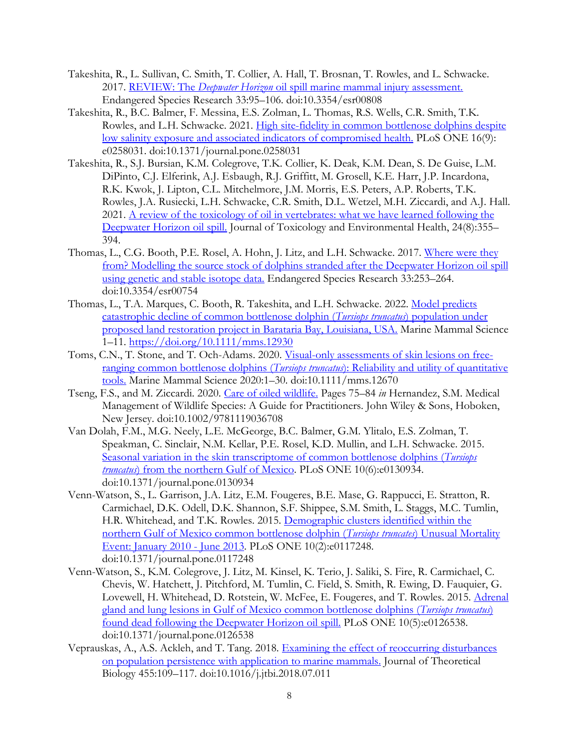- Takeshita, R., L. Sullivan, C. Smith, T. Collier, A. Hall, T. Brosnan, T. Rowles, and L. Schwacke. 2017. REVIEW: The *Deepwater Horizon* [oil spill marine mammal injury assessment.](https://www.int-res.com/articles/esr2017/33/n033p095.pdf) Endangered Species Research 33:95–106. doi:10.3354/esr00808
- Takeshita, R., B.C. Balmer, F. Messina, E.S. Zolman, L. Thomas, R.S. Wells, C.R. Smith, T.K. Rowles, and L.H. Schwacke. 2021. [High site-fidelity in common bottlenose dolphins despite](https://journals.plos.org/plosone/article?id=10.1371/journal.pone.0258031)  [low salinity exposure and associated indicators of compromised health.](https://journals.plos.org/plosone/article?id=10.1371/journal.pone.0258031) PLoS ONE 16(9): e0258031. doi:10.1371/journal.pone.0258031
- Takeshita, R., S.J. Bursian, K.M. Colegrove, T.K. Collier, K. Deak, K.M. Dean, S. De Guise, L.M. DiPinto, C.J. Elferink, A.J. Esbaugh, R.J. Griffitt, M. Grosell, K.E. Harr, J.P. Incardona, R.K. Kwok, J. Lipton, C.L. Mitchelmore, J.M. Morris, E.S. Peters, A.P. Roberts, T.K. Rowles, J.A. Rusiecki, L.H. Schwacke, C.R. Smith, D.L. Wetzel, M.H. Ziccardi, and A.J. Hall. 2021. [A review of the toxicology of oil in vertebrates: what we have learned following the](https://www.tandfonline.com/doi/pdf/10.1080/10937404.2021.1975182)  [Deepwater Horizon oil spill.](https://www.tandfonline.com/doi/pdf/10.1080/10937404.2021.1975182) Journal of Toxicology and Environmental Health, 24(8):355– 394.
- Thomas, L., C.G. Booth, P.E. Rosel, A. Hohn, J. Litz, and L.H. Schwacke. 2017. Where were they [from? Modelling the source stock of dolphins stranded after the Deepwater Horizon oil spill](https://www.int-res.com/articles/esr2017/33/n033p253.pdf)  [using genetic and stable isotope data.](https://www.int-res.com/articles/esr2017/33/n033p253.pdf) Endangered Species Research 33:253–264. doi:10.3354/esr00754
- Thomas, L., T.A. Marques, C. Booth, R. Takeshita, and L.H. Schwacke. 2022. [Model predicts](https://onlinelibrary.wiley.com/doi/epdf/10.1111/mms.12930)  [catastrophic decline of common bottlenose dolphin \(](https://onlinelibrary.wiley.com/doi/epdf/10.1111/mms.12930)*Tursiops truncatus*) population under [proposed land restoration project in Barataria Bay, Louisiana, USA.](https://onlinelibrary.wiley.com/doi/epdf/10.1111/mms.12930) Marine Mammal Science 1–11.<https://doi.org/10.1111/mms.12930>
- Toms, C.N., T. Stone, and T. Och-Adams. 2020. [Visual-only assessments of skin lesions on free](https://onlinelibrary.wiley.com/doi/full/10.1111/mms.12670?casa_token=kztc7HF7pGwAAAAA%3AIHbCcpn7HxC6x_UMVXzk1ImPLjBOdS3OKG0EqWGVAOwUZI6zWoLH1KodGPOoU88Rq69AWUBA_lXFik8)[ranging common bottlenose dolphins \(](https://onlinelibrary.wiley.com/doi/full/10.1111/mms.12670?casa_token=kztc7HF7pGwAAAAA%3AIHbCcpn7HxC6x_UMVXzk1ImPLjBOdS3OKG0EqWGVAOwUZI6zWoLH1KodGPOoU88Rq69AWUBA_lXFik8)*Tursiops truncatus*): Reliability and utility of quantitative [tools.](https://onlinelibrary.wiley.com/doi/full/10.1111/mms.12670?casa_token=kztc7HF7pGwAAAAA%3AIHbCcpn7HxC6x_UMVXzk1ImPLjBOdS3OKG0EqWGVAOwUZI6zWoLH1KodGPOoU88Rq69AWUBA_lXFik8) Marine Mammal Science 2020:1–30. doi:10.1111/mms.12670
- Tseng, F.S., and M. Ziccardi. 2020. [Care of oiled wildlife.](https://onlinelibrary.wiley.com/doi/abs/10.1002/9781119036708.ch6) Pages 75–84 *in* Hernandez, S.M. Medical Management of Wildlife Species: A Guide for Practitioners. John Wiley & Sons, Hoboken, New Jersey. doi:10.1002/9781119036708
- Van Dolah, F.M., M.G. Neely, L.E. McGeorge, B.C. Balmer, G.M. Ylitalo, E.S. Zolman, T. Speakman, C. Sinclair, N.M. Kellar, P.E. Rosel, K.D. Mullin, and L.H. Schwacke. 2015. [Seasonal variation in the skin transcriptome of common bottlenose dolphins \(](http://journals.plos.org/plosone/article?id=10.1371/journal.pone.0130934)*Tursiops truncatus*[\) from the northern Gulf of Mexico.](http://journals.plos.org/plosone/article?id=10.1371/journal.pone.0130934) PLoS ONE 10(6):e0130934. doi:10.1371/journal.pone.0130934
- Venn-Watson, S., L. Garrison, J.A. Litz, E.M. Fougeres, B.E. Mase, G. Rappucci, E. Stratton, R. Carmichael, D.K. Odell, D.K. Shannon, S.F. Shippee, S.M. Smith, L. Staggs, M.C. Tumlin, H.R. Whitehead, and T.K. Rowles. 2015. [Demographic clusters identified within the](http://journals.plos.org/plosone/article?id=10.1371/journal.pone.0117248)  [northern Gulf of Mexico common bottlenose dolphin \(](http://journals.plos.org/plosone/article?id=10.1371/journal.pone.0117248)*Tursiops truncates*) Unusual Mortality [Event: January 2010 -](http://journals.plos.org/plosone/article?id=10.1371/journal.pone.0117248) June 2013. PLoS ONE 10(2):e0117248. doi:10.1371/journal.pone.0117248
- Venn-Watson, S., K.M. Colegrove, J. Litz, M. Kinsel, K. Terio, J. Saliki, S. Fire, R. Carmichael, C. Chevis, W. Hatchett, J. Pitchford, M. Tumlin, C. Field, S. Smith, R. Ewing, D. Fauquier, G. Lovewell, H. Whitehead, D. Rotstein, W. McFee, E. Fougeres, and T. Rowles. 2015. Adrenal [gland and lung lesions in Gulf of Mexico common bottlenose dolphins \(](http://dx.plos.org/10.1371/journal.pone.0126538)*Tursiops truncatus*) [found dead following the Deepwater Horizon oil spill.](http://dx.plos.org/10.1371/journal.pone.0126538) PLoS ONE 10(5):e0126538. doi:10.1371/journal.pone.0126538
- Veprauskas, A., A.S. Ackleh, and T. Tang. 2018. [Examining the effect of reoccurring disturbances](https://www.sciencedirect.com/science/article/pii/S0022519318303357)  [on population persistence with application to marine mammals.](https://www.sciencedirect.com/science/article/pii/S0022519318303357) Journal of Theoretical Biology 455:109–117. doi:10.1016/j.jtbi.2018.07.011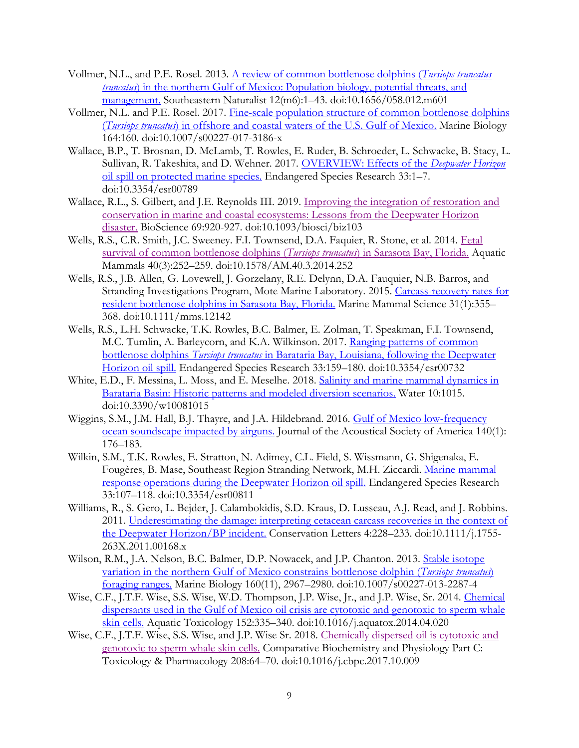- Vollmer, N.L., and P.E. Rosel. 2013. [A review of common bottlenose dolphins \(](https://bioone.org/journals/Southeastern-Naturalist/volume-12/issue-m6/058.012.m601/A-Review-of-Common-Bottlenose-Dolphins-Tursiops-truncatus-truncatus-in/10.1656/058.012.m601.short)*Tursiops truncatus truncatus*) in the northern Gulf of Mexico: Population biology, potential threats, and [management.](https://bioone.org/journals/Southeastern-Naturalist/volume-12/issue-m6/058.012.m601/A-Review-of-Common-Bottlenose-Dolphins-Tursiops-truncatus-truncatus-in/10.1656/058.012.m601.short) Southeastern Naturalist 12(m6):1–43. doi:10.1656/058.012.m601
- Vollmer, N.L. and P.E. Rosel. 2017. [Fine-scale population structure of common bottlenose dolphins](https://link.springer.com/article/10.1007/s00227-017-3186-x)  (*Tursiops truncatus*[\) in offshore and coastal waters of the U.S. Gulf of Mexico.](https://link.springer.com/article/10.1007/s00227-017-3186-x) Marine Biology 164:160. doi:10.1007/s00227-017-3186-x
- Wallace, B.P., T. Brosnan, D. McLamb, T. Rowles, E. Ruder, B. Schroeder, L. Schwacke, B. Stacy, L. Sullivan, R. Takeshita, and D. Wehner. 2017. [OVERVIEW: Effects of the](https://www.int-res.com/articles/esr2017/33/n033p001.pdf) *Deepwater Horizon* [oil spill on protected marine species.](https://www.int-res.com/articles/esr2017/33/n033p001.pdf) Endangered Species Research 33:1–7. doi:10.3354/esr00789
- Wallace, R.L., S. Gilbert, and J.E. Reynolds III. 2019. [Improving the integration of restoration and](https://academic.oup.com/bioscience/article/69/11/920/5556086)  [conservation in marine and coastal ecosystems: Lessons from the Deepwater Horizon](https://academic.oup.com/bioscience/article/69/11/920/5556086)  [disaster.](https://academic.oup.com/bioscience/article/69/11/920/5556086) BioScience 69:920-927. doi:10.1093/biosci/biz103
- Wells, R.S., C.R. Smith, J.C. Sweeney. F.I. Townsend, D.A. Faquier, R. Stone, et al. 2014. [Fetal](https://aquaticmammalsjournal.org/index.php?option=com_content&view=article&id=703:fetal-survival-of-common-bottlenose-dolphins-tursiops-truncatus-in-sarasota-bay-florida&catid=56&Itemid=157)  [survival of common bottlenose dolphins \(](https://aquaticmammalsjournal.org/index.php?option=com_content&view=article&id=703:fetal-survival-of-common-bottlenose-dolphins-tursiops-truncatus-in-sarasota-bay-florida&catid=56&Itemid=157)*Tursiops truncatus*) in Sarasota Bay, Florida. Aquatic Mammals 40(3):252–259. doi:10.1578/AM.40.3.2014.252
- Wells, R.S., J.B. Allen, G. Lovewell, J. Gorzelany, R.E. Delynn, D.A. Fauquier, N.B. Barros, and Stranding Investigations Program, Mote Marine Laboratory. 2015. [Carcass-recovery rates for](https://onlinelibrary.wiley.com/doi/abs/10.1111/mms.12142)  [resident bottlenose dolphins in Sarasota Bay, Florida.](https://onlinelibrary.wiley.com/doi/abs/10.1111/mms.12142) Marine Mammal Science 31(1):355– 368. doi:10.1111/mms.12142
- Wells, R.S., L.H. Schwacke, T.K. Rowles, B.C. Balmer, E. Zolman, T. Speakman, F.I. Townsend, M.C. Tumlin, A. Barleycorn, and K.A. Wilkinson. 2017. Ranging patterns of common bottlenose dolphins *Tursiops truncatus* [in Barataria Bay, Louisiana, following the Deepwater](https://www.int-res.com/articles/esr2017/33/n033p159.pdf)  [Horizon oil spill.](https://www.int-res.com/articles/esr2017/33/n033p159.pdf) Endangered Species Research 33:159–180. doi:10.3354/esr00732
- White, E.D., F. Messina, L. Moss, and E. Meselhe. 2018. [Salinity and marine mammal dynamics in](https://www.mdpi.com/2073-4441/10/8/1015)  [Barataria Basin: Historic patterns and modeled diversion scenarios.](https://www.mdpi.com/2073-4441/10/8/1015) Water 10:1015. doi:10.3390/w10081015
- Wiggins, S.M., J.M. Hall, B.J. Thayre, and J.A. Hildebrand. 2016. [Gulf of Mexico low-frequency](https://asa.scitation.org/doi/10.1121/1.4955300)  [ocean soundscape impacted by airguns.](https://asa.scitation.org/doi/10.1121/1.4955300) Journal of the Acoustical Society of America 140(1): 176–183.
- Wilkin, S.M., T.K. Rowles, E. Stratton, N. Adimey, C.L. Field, S. Wissmann, G. Shigenaka, E. Fougères, B. Mase, Southeast Region Stranding Network, M.H. Ziccardi. [Marine mammal](https://www.int-res.com/articles/esr2017/33/n033p107.pdf)  [response operations during the Deepwater Horizon oil spill.](https://www.int-res.com/articles/esr2017/33/n033p107.pdf) Endangered Species Research 33:107–118. doi:10.3354/esr00811
- Williams, R., S. Gero, L. Bejder, J. Calambokidis, S.D. Kraus, D. Lusseau, A.J. Read, and J. Robbins. 2011. [Underestimating the damage: interpreting cetacean carcass recoveries in the context of](https://onlinelibrary.wiley.com/doi/full/10.1111/j.1755-263X.2011.00168.x)  [the Deepwater Horizon/BP incident.](https://onlinelibrary.wiley.com/doi/full/10.1111/j.1755-263X.2011.00168.x) Conservation Letters 4:228–233. doi:10.1111/j.1755- 263X.2011.00168.x
- Wilson, R.M., J.A. Nelson, B.C. Balmer, D.P. Nowacek, and J.P. Chanton. 2013. Stable isotope [variation in the northern Gulf of Mexico constrains bottlenose dolphin \(](https://link.springer.com/article/10.1007/s00227-013-2287-4)*Tursiops truncatus*) [foraging ranges.](https://link.springer.com/article/10.1007/s00227-013-2287-4) Marine Biology 160(11), 2967–2980. doi:10.1007/s00227-013-2287-4
- Wise, C.F., J.T.F. Wise, S.S. Wise, W.D. Thompson, J.P. Wise, Jr., and J.P. Wise, Sr. 2014. [Chemical](https://www.researchgate.net/profile/John_Jr5/publication/262304326_Chemical_dispersants_used_in_the_Gulf_of_Mexico_oil_crisis_are_cytotoxic_and_genotoxic_to_sperm_whale_skin_cells/links/54e6233c0cf2bff5a4f37218/Chemical-dispersants-used-in-the-Gulf-of-Mexico-oil-crisis-are-cytotoxic-and-genotoxic-to-sperm-whale-skin-cells.pdf)  [dispersants used in the Gulf of Mexico oil crisis are cytotoxic and genotoxic to sperm whale](https://www.researchgate.net/profile/John_Jr5/publication/262304326_Chemical_dispersants_used_in_the_Gulf_of_Mexico_oil_crisis_are_cytotoxic_and_genotoxic_to_sperm_whale_skin_cells/links/54e6233c0cf2bff5a4f37218/Chemical-dispersants-used-in-the-Gulf-of-Mexico-oil-crisis-are-cytotoxic-and-genotoxic-to-sperm-whale-skin-cells.pdf)  [skin cells.](https://www.researchgate.net/profile/John_Jr5/publication/262304326_Chemical_dispersants_used_in_the_Gulf_of_Mexico_oil_crisis_are_cytotoxic_and_genotoxic_to_sperm_whale_skin_cells/links/54e6233c0cf2bff5a4f37218/Chemical-dispersants-used-in-the-Gulf-of-Mexico-oil-crisis-are-cytotoxic-and-genotoxic-to-sperm-whale-skin-cells.pdf) Aquatic Toxicology 152:335–340. doi:10.1016/j.aquatox.2014.04.020
- Wise, C.F., J.T.F. Wise, S.S. Wise, and J.P. Wise Sr. 2018. Chemically [dispersed oil is cytotoxic and](https://www.sciencedirect.com/science/article/pii/S153204561730193X)  [genotoxic to sperm whale skin cells.](https://www.sciencedirect.com/science/article/pii/S153204561730193X) Comparative Biochemistry and Physiology Part C: Toxicology & Pharmacology 208:64–70. doi:10.1016/j.cbpc.2017.10.009